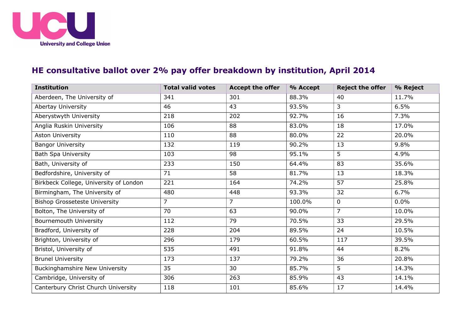

## **HE consultative ballot over 2% pay offer breakdown by institution, April 2014**

| <b>Institution</b>                     | <b>Total valid votes</b> | <b>Accept the offer</b> | % Accept | <b>Reject the offer</b> | % Reject |
|----------------------------------------|--------------------------|-------------------------|----------|-------------------------|----------|
| Aberdeen, The University of            | 341                      | 301                     | 88.3%    | 40                      | 11.7%    |
| Abertay University                     | 46                       | 43                      | 93.5%    | 3                       | 6.5%     |
| Aberystwyth University                 | 218                      | 202                     | 92.7%    | 16                      | 7.3%     |
| Anglia Ruskin University               | 106                      | 88                      | 83.0%    | 18                      | 17.0%    |
| Aston University                       | 110                      | 88                      | 80.0%    | 22                      | 20.0%    |
| <b>Bangor University</b>               | 132                      | 119                     | 90.2%    | 13                      | 9.8%     |
| Bath Spa University                    | 103                      | 98                      | 95.1%    | 5                       | 4.9%     |
| Bath, University of                    | 233                      | 150                     | 64.4%    | 83                      | 35.6%    |
| Bedfordshire, University of            | 71                       | 58                      | 81.7%    | 13                      | 18.3%    |
| Birkbeck College, University of London | 221                      | 164                     | 74.2%    | 57                      | 25.8%    |
| Birmingham, The University of          | 480                      | 448                     | 93.3%    | 32                      | 6.7%     |
| <b>Bishop Grosseteste University</b>   | $\overline{7}$           | $\overline{7}$          | 100.0%   | 0                       | 0.0%     |
| Bolton, The University of              | 70                       | 63                      | 90.0%    | $\overline{7}$          | 10.0%    |
| Bournemouth University                 | 112                      | 79                      | 70.5%    | 33                      | 29.5%    |
| Bradford, University of                | 228                      | 204                     | 89.5%    | 24                      | 10.5%    |
| Brighton, University of                | 296                      | 179                     | 60.5%    | 117                     | 39.5%    |
| Bristol, University of                 | 535                      | 491                     | 91.8%    | 44                      | 8.2%     |
| <b>Brunel University</b>               | 173                      | 137                     | 79.2%    | 36                      | 20.8%    |
| <b>Buckinghamshire New University</b>  | 35                       | 30                      | 85.7%    | 5                       | 14.3%    |
| Cambridge, University of               | 306                      | 263                     | 85.9%    | 43                      | 14.1%    |
| Canterbury Christ Church University    | 118                      | 101                     | 85.6%    | 17                      | 14.4%    |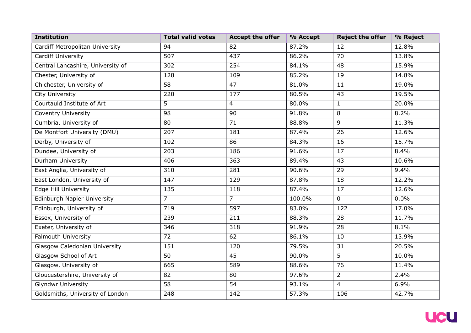| <b>Institution</b>                 | <b>Total valid votes</b> | <b>Accept the offer</b> | % Accept | <b>Reject the offer</b> | % Reject |
|------------------------------------|--------------------------|-------------------------|----------|-------------------------|----------|
| Cardiff Metropolitan University    | 94                       | 82                      | 87.2%    | 12                      | 12.8%    |
| <b>Cardiff University</b>          | 507                      | 437                     | 86.2%    | 70                      | 13.8%    |
| Central Lancashire, University of  | 302                      | 254                     | 84.1%    | 48                      | 15.9%    |
| Chester, University of             | 128                      | 109                     | 85.2%    | 19                      | 14.8%    |
| Chichester, University of          | 58                       | 47                      | 81.0%    | 11                      | 19.0%    |
| City University                    | 220                      | 177                     | 80.5%    | 43                      | 19.5%    |
| Courtauld Institute of Art         | 5                        | 4                       | 80.0%    | $\mathbf{1}$            | 20.0%    |
| <b>Coventry University</b>         | 98                       | 90                      | 91.8%    | 8                       | 8.2%     |
| Cumbria, University of             | 80                       | 71                      | 88.8%    | 9                       | 11.3%    |
| De Montfort University (DMU)       | 207                      | 181                     | 87.4%    | 26                      | 12.6%    |
| Derby, University of               | 102                      | 86                      | 84.3%    | 16                      | 15.7%    |
| Dundee, University of              | 203                      | 186                     | 91.6%    | 17                      | 8.4%     |
| Durham University                  | 406                      | 363                     | 89.4%    | 43                      | 10.6%    |
| East Anglia, University of         | 310                      | 281                     | 90.6%    | 29                      | 9.4%     |
| East London, University of         | 147                      | 129                     | 87.8%    | 18                      | 12.2%    |
| <b>Edge Hill University</b>        | 135                      | 118                     | 87.4%    | 17                      | 12.6%    |
| <b>Edinburgh Napier University</b> | $\overline{7}$           | $\overline{7}$          | 100.0%   | $\overline{0}$          | 0.0%     |
| Edinburgh, University of           | 719                      | 597                     | 83.0%    | 122                     | 17.0%    |
| Essex, University of               | 239                      | 211                     | 88.3%    | 28                      | 11.7%    |
| Exeter, University of              | 346                      | 318                     | 91.9%    | 28                      | 8.1%     |
| Falmouth University                | 72                       | 62                      | 86.1%    | 10                      | 13.9%    |
| Glasgow Caledonian University      | 151                      | 120                     | 79.5%    | 31                      | 20.5%    |
| Glasgow School of Art              | 50                       | 45                      | 90.0%    | 5                       | 10.0%    |
| Glasgow, University of             | 665                      | 589                     | 88.6%    | 76                      | 11.4%    |
| Gloucestershire, University of     | 82                       | 80                      | 97.6%    | $\overline{2}$          | 2.4%     |
| <b>Glyndwr University</b>          | 58                       | 54                      | 93.1%    | 4                       | 6.9%     |
| Goldsmiths, University of London   | 248                      | 142                     | 57.3%    | 106                     | 42.7%    |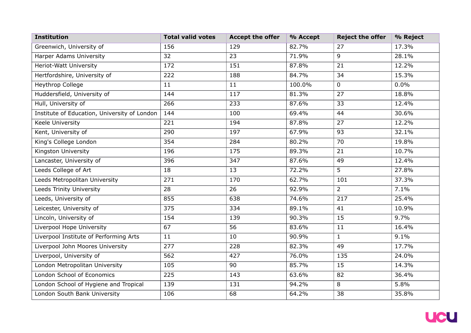| <b>Institution</b>                           | <b>Total valid votes</b> | <b>Accept the offer</b> | % Accept | <b>Reject the offer</b> | % Reject |
|----------------------------------------------|--------------------------|-------------------------|----------|-------------------------|----------|
| Greenwich, University of                     | 156                      | 129                     | 82.7%    | 27                      | 17.3%    |
| <b>Harper Adams University</b>               | 32                       | 23                      | 71.9%    | 9                       | 28.1%    |
| Heriot-Watt University                       | 172                      | 151                     | 87.8%    | 21                      | 12.2%    |
| Hertfordshire, University of                 | 222                      | 188                     | 84.7%    | 34                      | 15.3%    |
| <b>Heythrop College</b>                      | 11                       | 11                      | 100.0%   | $\mathbf 0$             | 0.0%     |
| Huddersfield, University of                  | 144                      | 117                     | 81.3%    | 27                      | 18.8%    |
| Hull, University of                          | 266                      | 233                     | 87.6%    | 33                      | 12.4%    |
| Institute of Education, University of London | 144                      | 100                     | 69.4%    | 44                      | 30.6%    |
| Keele University                             | 221                      | 194                     | 87.8%    | 27                      | 12.2%    |
| Kent, University of                          | 290                      | 197                     | 67.9%    | 93                      | 32.1%    |
| King's College London                        | 354                      | 284                     | 80.2%    | 70                      | 19.8%    |
| Kingston University                          | 196                      | 175                     | 89.3%    | 21                      | 10.7%    |
| Lancaster, University of                     | 396                      | 347                     | 87.6%    | 49                      | 12.4%    |
| Leeds College of Art                         | 18                       | 13                      | 72.2%    | 5                       | 27.8%    |
| Leeds Metropolitan University                | 271                      | 170                     | 62.7%    | 101                     | 37.3%    |
| <b>Leeds Trinity University</b>              | 28                       | 26                      | 92.9%    | $\overline{2}$          | 7.1%     |
| Leeds, University of                         | 855                      | 638                     | 74.6%    | 217                     | 25.4%    |
| Leicester, University of                     | 375                      | 334                     | 89.1%    | 41                      | 10.9%    |
| Lincoln, University of                       | 154                      | 139                     | 90.3%    | 15                      | 9.7%     |
| Liverpool Hope University                    | 67                       | 56                      | 83.6%    | 11                      | 16.4%    |
| Liverpool Institute of Performing Arts       | 11                       | 10                      | 90.9%    | $\mathbf{1}$            | 9.1%     |
| Liverpool John Moores University             | 277                      | 228                     | 82.3%    | 49                      | 17.7%    |
| Liverpool, University of                     | 562                      | 427                     | 76.0%    | 135                     | 24.0%    |
| London Metropolitan University               | 105                      | 90                      | 85.7%    | 15                      | 14.3%    |
| London School of Economics                   | 225                      | 143                     | 63.6%    | 82                      | 36.4%    |
| London School of Hygiene and Tropical        | 139                      | 131                     | 94.2%    | 8                       | 5.8%     |
| London South Bank University                 | 106                      | 68                      | 64.2%    | 38                      | 35.8%    |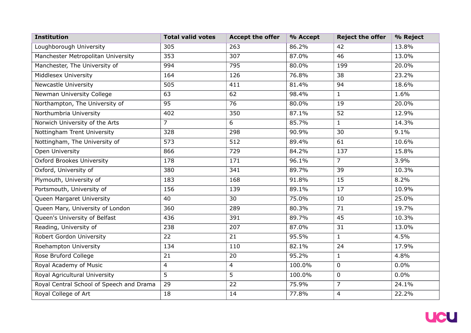| <b>Institution</b>                       | <b>Total valid votes</b> | <b>Accept the offer</b> | % Accept | <b>Reject the offer</b> | % Reject |
|------------------------------------------|--------------------------|-------------------------|----------|-------------------------|----------|
| Loughborough University                  | 305                      | 263                     | 86.2%    | 42                      | 13.8%    |
| Manchester Metropolitan University       | 353                      | 307                     | 87.0%    | 46                      | 13.0%    |
| Manchester, The University of            | 994                      | 795                     | 80.0%    | 199                     | 20.0%    |
| Middlesex University                     | 164                      | 126                     | 76.8%    | 38                      | 23.2%    |
| <b>Newcastle University</b>              | 505                      | 411                     | 81.4%    | 94                      | 18.6%    |
| Newman University College                | 63                       | 62                      | 98.4%    | $\mathbf{1}$            | 1.6%     |
| Northampton, The University of           | 95                       | 76                      | 80.0%    | 19                      | 20.0%    |
| Northumbria University                   | 402                      | 350                     | 87.1%    | 52                      | 12.9%    |
| Norwich University of the Arts           | 7                        | 6                       | 85.7%    | $\mathbf{1}$            | 14.3%    |
| Nottingham Trent University              | 328                      | 298                     | 90.9%    | 30                      | 9.1%     |
| Nottingham, The University of            | 573                      | 512                     | 89.4%    | 61                      | 10.6%    |
| Open University                          | 866                      | 729                     | 84.2%    | 137                     | 15.8%    |
| <b>Oxford Brookes University</b>         | 178                      | 171                     | 96.1%    | $\overline{7}$          | 3.9%     |
| Oxford, University of                    | 380                      | 341                     | 89.7%    | 39                      | 10.3%    |
| Plymouth, University of                  | 183                      | 168                     | 91.8%    | 15                      | 8.2%     |
| Portsmouth, University of                | 156                      | 139                     | 89.1%    | 17                      | 10.9%    |
| Queen Margaret University                | 40                       | 30                      | 75.0%    | 10                      | 25.0%    |
| Queen Mary, University of London         | 360                      | 289                     | 80.3%    | 71                      | 19.7%    |
| Queen's University of Belfast            | 436                      | 391                     | 89.7%    | 45                      | 10.3%    |
| Reading, University of                   | 238                      | 207                     | 87.0%    | 31                      | 13.0%    |
| Robert Gordon University                 | 22                       | 21                      | 95.5%    | $\mathbf{1}$            | 4.5%     |
| Roehampton University                    | 134                      | 110                     | 82.1%    | 24                      | 17.9%    |
| Rose Bruford College                     | 21                       | 20                      | 95.2%    | $\mathbf{1}$            | 4.8%     |
| Royal Academy of Music                   | 4                        | 4                       | 100.0%   | 0                       | 0.0%     |
| Royal Agricultural University            | 5                        | 5                       | 100.0%   | $\mathbf 0$             | 0.0%     |
| Royal Central School of Speech and Drama | 29                       | 22                      | 75.9%    | $\overline{7}$          | 24.1%    |
| Royal College of Art                     | 18                       | 14                      | 77.8%    | 4                       | 22.2%    |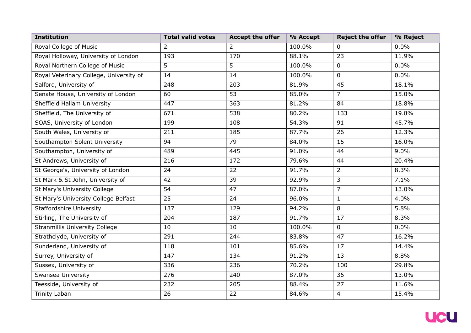| <b>Institution</b>                      | <b>Total valid votes</b> | <b>Accept the offer</b> | % Accept | <b>Reject the offer</b> | % Reject |
|-----------------------------------------|--------------------------|-------------------------|----------|-------------------------|----------|
| Royal College of Music                  | 2                        | $\overline{2}$          | 100.0%   | 0                       | 0.0%     |
| Royal Holloway, University of London    | 193                      | 170                     | 88.1%    | 23                      | 11.9%    |
| Royal Northern College of Music         | 5                        | 5                       | 100.0%   | $\mathbf 0$             | 0.0%     |
| Royal Veterinary College, University of | 14                       | 14                      | 100.0%   | $\overline{0}$          | 0.0%     |
| Salford, University of                  | 248                      | 203                     | 81.9%    | 45                      | 18.1%    |
| Senate House, University of London      | 60                       | 53                      | 85.0%    | $\overline{7}$          | 15.0%    |
| Sheffield Hallam University             | 447                      | 363                     | 81.2%    | 84                      | 18.8%    |
| Sheffield, The University of            | 671                      | 538                     | 80.2%    | 133                     | 19.8%    |
| SOAS, University of London              | 199                      | 108                     | 54.3%    | 91                      | 45.7%    |
| South Wales, University of              | 211                      | 185                     | 87.7%    | 26                      | 12.3%    |
| Southampton Solent University           | 94                       | 79                      | 84.0%    | 15                      | 16.0%    |
| Southampton, University of              | 489                      | 445                     | 91.0%    | 44                      | 9.0%     |
| St Andrews, University of               | 216                      | 172                     | 79.6%    | 44                      | 20.4%    |
| St George's, University of London       | 24                       | 22                      | 91.7%    | $\overline{2}$          | 8.3%     |
| St Mark & St John, University of        | 42                       | 39                      | 92.9%    | $\overline{3}$          | 7.1%     |
| St Mary's University College            | 54                       | 47                      | 87.0%    | $\overline{7}$          | 13.0%    |
| St Mary's University College Belfast    | 25                       | 24                      | 96.0%    | $\mathbf{1}$            | 4.0%     |
| <b>Staffordshire University</b>         | 137                      | 129                     | 94.2%    | 8                       | 5.8%     |
| Stirling, The University of             | 204                      | 187                     | 91.7%    | 17                      | 8.3%     |
| <b>Stranmillis University College</b>   | 10                       | 10                      | 100.0%   | $\overline{0}$          | 0.0%     |
| Strathclyde, University of              | 291                      | 244                     | 83.8%    | 47                      | 16.2%    |
| Sunderland, University of               | 118                      | 101                     | 85.6%    | 17                      | 14.4%    |
| Surrey, University of                   | 147                      | 134                     | 91.2%    | 13                      | 8.8%     |
| Sussex, University of                   | 336                      | 236                     | 70.2%    | 100                     | 29.8%    |
| Swansea University                      | 276                      | 240                     | 87.0%    | 36                      | 13.0%    |
| Teesside, University of                 | 232                      | 205                     | 88.4%    | 27                      | 11.6%    |
| Trinity Laban                           | 26                       | 22                      | 84.6%    | $\overline{4}$          | 15.4%    |